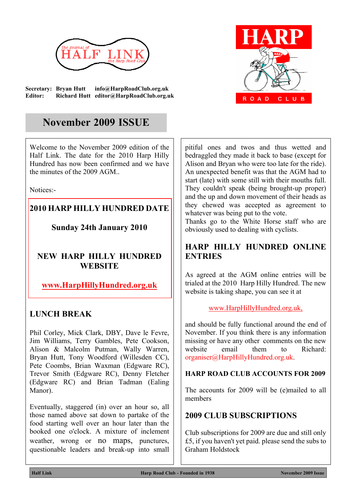

**Secretary: Bryan Hutt info@HarpRoadClub.org.uk Editor: Richard Hutt editor@HarpRoadClub.org.uk**



# **November 2009 ISSUE**

Welcome to the November 2009 edition of the Half Link. The date for the 2010 Harp Hilly Hundred has now been confirmed and we have the minutes of the 2009 AGM..

Notices:-

# **2010 HARP HILLY HUNDRED DATE**

**Sunday 24th January 2010**

### **NEW HARP HILLY HUNDRED WEBSITE**

# **www.HarpHillyHundred.org.uk**

# **LUNCH BREAK**

Phil Corley, Mick Clark, DBY, Dave le Fevre, Jim Williams, Terry Gambles, Pete Cookson, Alison & Malcolm Putman, Wally Warren, Bryan Hutt, Tony Woodford (Willesden CC), Pete Coombs, Brian Waxman (Edgware RC), Trevor Smith (Edgware RC), Denny Fletcher (Edgware RC) and Brian Tadman (Ealing Manor).

Eventually, staggered (in) over an hour so, all those named above sat down to partake of the food starting well over an hour later than the booked one o'clock. A mixture of inclement weather, wrong or no maps, punctures, questionable leaders and break-up into small pitiful ones and twos and thus wetted and bedraggled they made it back to base (except for Alison and Bryan who were too late for the ride). An unexpected benefit was that the AGM had to start (late) with some still with their mouths full. They couldn't speak (being brought-up proper) and the up and down movement of their heads as they chewed was accepted as agreement to whatever was being put to the vote.

Thanks go to the White Horse staff who are obviously used to dealing with cyclists.

# **HARP HILLY HUNDRED ONLINE ENTRIES**

As agreed at the AGM online entries will be trialed at the 2010 Harp Hilly Hundred. The new website is taking shape, you can see it at

### www.HarpHillyHundred.org.uk,

and should be fully functional around the end of November. If you think there is any information missing or have any other comments on the new website email them to Richard: organiser@HarpHillyHundred.org.uk.

### **HARP ROAD CLUB ACCOUNTS FOR 2009**

The accounts for 2009 will be (e)mailed to all members

### **2009 CLUB SUBSCRIPTIONS**

Club subscriptions for 2009 are due and still only £5, if you haven't yet paid. please send the subs to Graham Holdstock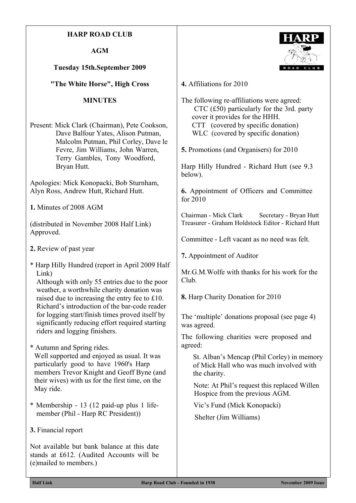#### **HARP ROAD CLUB**

**AGM**

#### **Tuesday 15th.September 2009**

**"The White Horse", High Cross**

#### **MINUTES**

Present: Mick Clark (Chairman), Pete Cookson, Dave Balfour Yates, Alison Putman, Malcolm Putman, Phil Corley, Dave le Fevre, Jim Williams, John Warren, Terry Gambles, Tony Woodford, Bryan Hutt.

Apologies: Mick Konopacki, Bob Sturnham, Alyn Ross, Andrew Hutt, Richard Hutt.

**1.** Minutes of 2008 AGM

(distributed in November 2008 Half Link) Approved.

- **2.** Review of past year
- \* Harp Hilly Hundred (report in April 2009 Half Link)

Although with only 55 entries due to the poor weather, a worthwhile charity donation was raised due to increasing the entry fee to £10. Richard's introduction of the bar-code reader for logging start/finish times proved itself by significantly reducing effort required starting riders and logging finishers.

- \* Autumn and Spring rides. Well supported and enjoyed as usual. It was particularly good to have 1960's Harp members Trevor Knight and Geoff Byne (and their wives) with us for the first time, on the May ride.
- \* Membership 13 (12 paid-up plus 1 lifemember (Phil - Harp RC President))
- **3.** Financial report

Not available but bank balance at this date stands at £612. (Audited Accounts will be (e)mailed to members.)



**4.** Affiliations for 2010

The following re-affiliations were agreed: CTC (£50) particularly for the 3rd. party cover it provides for the HHH. CTT (covered by specific donation) WLC (covered by specific donation)

**5.** Promotions (and Organisers) for 2010

Harp Hilly Hundred - Richard Hutt (see 9.3 below).

**6.** Appointment of Officers and Committee for 2010

Chairman - Mick Clark Secretary - Bryan Hutt Treasurer - Graham Holdstock Editor - Richard Hutt

Committee - Left vacant as no need was felt.

**7.** Appointment of Auditor

Mr. G.M. Wolfe with thanks for his work for the Club.

**8.** Harp Charity Donation for 2010

The 'multiple' donations proposal (see page 4) was agreed.

The following charities were proposed and agreed:

St. Alban's Mencap (Phil Corley) in memory of Mick Hall who was much involved with the charity.

Note: At Phil's request this replaced Willen Hospice from the previous AGM.

Vic's Fund (Mick Konopacki)

Shelter (Jim Williams)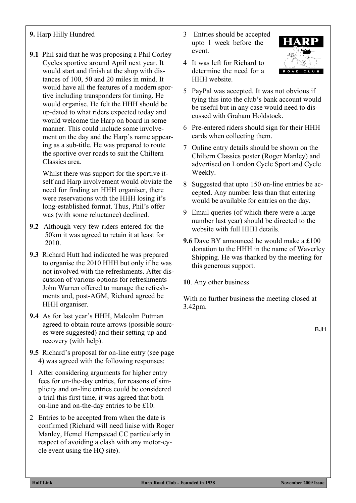### **9.** Harp Hilly Hundred

**9.1** Phil said that he was proposing a Phil Corley Cycles sportive around April next year. It would start and finish at the shop with distances of 100, 50 and 20 miles in mind. It would have all the features of a modern sportive including transponders for timing. He would organise. He felt the HHH should be up-dated to what riders expected today and would welcome the Harp on board in some manner. This could include some involvement on the day and the Harp's name appearing as a sub-title. He was prepared to route the sportive over roads to suit the Chiltern Classics area.

Whilst there was support for the sportive itself and Harp involvement would obviate the need for finding an HHH organiser, there were reservations with the HHH losing it's long-established format. Thus, Phil's offer was (with some reluctance) declined.

- **9.2** Although very few riders entered for the 50km it was agreed to retain it at least for 2010.
- **9.3** Richard Hutt had indicated he was prepared to organise the 2010 HHH but only if he was not involved with the refreshments. After discussion of various options for refreshments John Warren offered to manage the refreshments and, post-AGM, Richard agreed be HHH organiser.
- **9.4** As for last year's HHH, Malcolm Putman agreed to obtain route arrows (possible sources were suggested) and their setting-up and recovery (with help).
- **9.5** Richard's proposal for on-line entry (see page 4) was agreed with the following responses:
- 1 After considering arguments for higher entry fees for on-the-day entries, for reasons of simplicity and on-line entries could be considered a trial this first time, it was agreed that both on-line and on-the-day entries to be £10.
- 2 Entries to be accepted from when the date is confirmed (Richard will need liaise with Roger Manley, Hemel Hempstead CC particularly in respect of avoiding a clash with any motor-cycle event using the HQ site).
- 3 Entries should be accepted upto 1 week before the event.
- 4 It was left for Richard to determine the need for a HHH website.
- 5 PayPal was accepted. It was not obvious if tying this into the club's bank account would be useful but in any case would need to discussed with Graham Holdstock.
- 6 Pre-entered riders should sign for their HHH cards when collecting them.
- 7 Online entry details should be shown on the Chiltern Classics poster (Roger Manley) and advertised on London Cycle Sport and Cycle Weekly.
- 8 Suggested that upto 150 on-line entries be accepted. Any number less than that entering would be available for entries on the day.
- 9 Email queries (of which there were a large number last year) should be directed to the website with full HHH details.
- **9.6** Dave BY announced he would make a £100 donation to the HHH in the name of Waverley Shipping. He was thanked by the meeting for this generous support.

**10**. Any other business

With no further business the meeting closed at 3.42pm.

BJH

 $\overline{a}$  and  $\overline{a}$